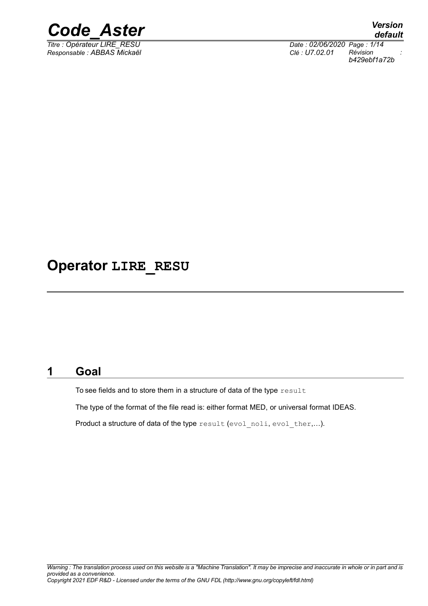

*Titre : Opérateur LIRE\_RESU Date : 02/06/2020 Page : 1/14 b429ebf1a72b*

## **Operator LIRE\_RESU**

## **1 Goal**

To see fields and to store them in a structure of data of the type result

The type of the format of the file read is: either format MED, or universal format IDEAS.

Product a structure of data of the type result (evol noli, evol ther,...).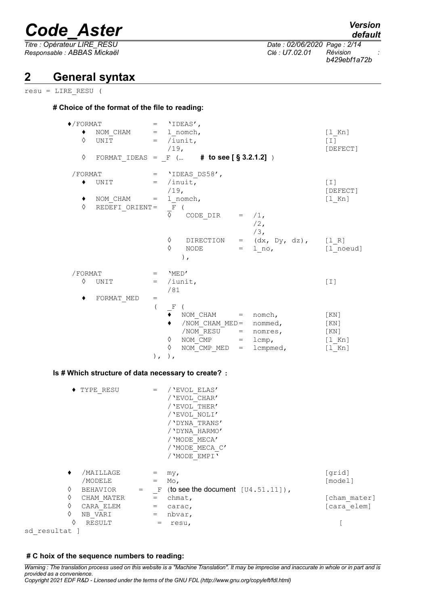*Responsable : ABBAS Mickaël Clé : U7.02.01 Révision :*

*Titre : Opérateur LIRE\_RESU Date : 02/06/2020 Page : 2/14 b429ebf1a72b*

## **2 General syntax**

resu = LIRE\_RESU (

#### **# Choice of the format of the file to reading:**

| $\blacklozenge$ / FORMAT                            | $=$ 'IDEAS',                                       |                  |
|-----------------------------------------------------|----------------------------------------------------|------------------|
| NOM CHAM $=$ 1 nomch,<br>٠                          |                                                    | $\lceil 1$ Kn]   |
| ♦<br>UNIT                                           | $=$ /iunit,                                        | [T]              |
|                                                     | $/19$ ,                                            | [DEFECT]         |
| ♦                                                   | FORMAT IDEAS = $F$ ( # to see [ § 3.2.1.2] )       |                  |
| /FORMAT                                             | $=$ 'IDEAS DS58',                                  |                  |
| ٠<br>UNIT                                           | $=$ /inuit,                                        | [T]              |
|                                                     | /19,                                               | [DEFECT]         |
| NOM CHAM $=$ 1 nomch,<br>٠                          |                                                    | $[1$ Kn]         |
| ♦<br>REDEFI ORIENT=                                 | F(<br>$\overline{\lozenge}$<br>CODE DIR = $/1$ ,   |                  |
|                                                     | $/2$ ,                                             |                  |
|                                                     | $/3$ ,                                             |                  |
|                                                     | $\Diamond$ DIRECTION = $(dx, Dy, dz)$ , [1R]       |                  |
|                                                     | ♦<br>NODE<br>$=$ 1 no,                             | [1 noeud]        |
|                                                     | $\,$ ,                                             |                  |
| /FORMAT                                             | $=$ 'MED'                                          |                  |
| ♦<br>UNIT                                           | $=$ /iunit,                                        | $[1]$            |
|                                                     | /81                                                |                  |
| ٠<br>FORMAT MED                                     | $\hspace{1.6cm} = \hspace{1.6cm}$                  |                  |
|                                                     | $\overline{(\ }$<br>F<br>$\left($                  |                  |
|                                                     | NOM $CHAM$ = nomch,<br>/NOM CHAM MED= nommed,      | [ KN ]<br>[ KN ] |
|                                                     | $/ NOM RESU$ = nomres,                             | [KN]             |
|                                                     | NOM $\overline{CMP}$ = $lcmp,$<br>♦                | $[1 \space$ Kn]  |
|                                                     | NOM CMP $MED = Lempmed,$<br>$\Diamond$             | $[1$ Kn]         |
|                                                     | $), \, , \,$                                       |                  |
| Is # Which structure of data necessary to create? : |                                                    |                  |
|                                                     |                                                    |                  |
| TYPE RESU                                           | $=$ / 'EVOL ELAS'                                  |                  |
|                                                     | / 'EVOL CHAR'                                      |                  |
|                                                     | / 'EVOL THER'<br>/ 'EVOL NOLI'                     |                  |
|                                                     | /'DYNA TRANS'                                      |                  |
|                                                     | / 'DYNA HARMO'                                     |                  |
|                                                     | / 'MODE MECA'                                      |                  |
|                                                     | / 'MODE MECA C'                                    |                  |
|                                                     | / 'MODE EMPI'                                      |                  |
| /MAILLAGE                                           | $=$<br>my,                                         | [grid]           |
| /MODELE                                             | Mo,<br>$=$                                         | [model]          |
| ♦<br>BEHAVIOR<br>$=$                                | (to see the document $[U4.51.11]$ ),<br>$-{\rm F}$ |                  |
| ♦<br>CHAM MATER                                     | chmat,<br>$=$                                      | [cham mater]     |
| ♦<br>CARA ELEM<br>♦                                 | $=$<br>carac,                                      | [cara elem]      |
| NB VARI<br>♦<br>RESULT                              | nbvar,<br>$=$<br>$=$<br>resu,                      |                  |
|                                                     |                                                    |                  |

sd\_resultat ]

#### **# C hoix of the sequence numbers to reading:**

*Warning : The translation process used on this website is a "Machine Translation". It may be imprecise and inaccurate in whole or in part and is provided as a convenience. Copyright 2021 EDF R&D - Licensed under the terms of the GNU FDL (http://www.gnu.org/copyleft/fdl.html)*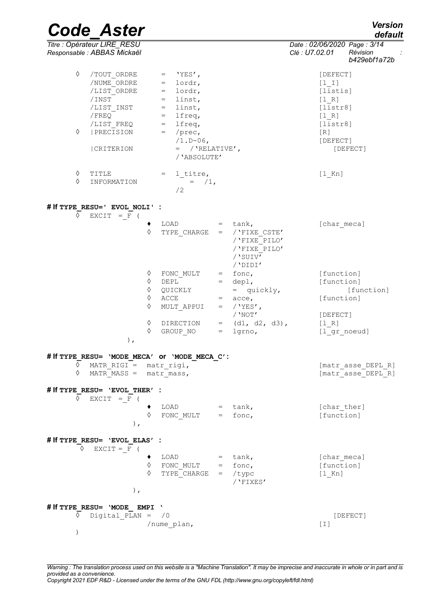*Code\_Aster Version default Titre : Opérateur LIRE\_RESU Date : 02/06/2020 Page : 3/14 Responsable : ABBAS Mickaël Clé : U7.02.01 Révision : b429ebf1a72b* ◊ /TOUT\_ORDRE = 'YES', [DEFECT] /NUME<sup>ORDRE</sup> = lordr, [1 I]  $/LIST-ORDRE = lordr,$  [listis]<br>/INST = linst, [l R]  $\begin{array}{rcl} \text{/INST} & = & \text{limits,} \\ \text{/LIST INST} & = & \text{limits.} \\ \end{array}$  $/LIST$  INST = linst,  $\begin{bmatrix} l & i \end{bmatrix}$  [listr8]  $/$ FREQ = lfreq,  $[1_R]$ <br>  $/$ LIST FREQ = lfreq,  $[$ list  $=$  lfreq,  $[\text{listr8}]$ <br>= /prec,  $[R]$  $\Diamond$  |PRECISION = /prec, [R] /1.D-06, [DEFECT] |CRITERION = /'RELATIVE', [DEFECT] /'ABSOLUTE'  $\Diamond$  TITLE = l\_titre,  $[1_Kn]$  $\Diamond$  INFORMATION =  $/1$ , /2 **# If TYPE\_RESU=' EVOL\_NOLI' :**  $\Diamond$  EXCIT = F (  $LOAD$  = tank,  $[char \; meca]$ ◊ TYPE\_CHARGE = /'FIXE\_CSTE' /'FIXE\_PILO' /'FIXE\_PILO' /'SUIV'  $/$ 'DIDI'<br>= fonc, ◊ FONC\_MULT = fonc, [function]  $\begin{array}{ccc} \circ & \circ & \circ \\ \circ & \circ & \circ \end{array}$  = depl, [function] ◊ QUICKLY = quickly, [function]  $\begin{array}{rcl}\n\lozenge & \text{ACCE} & = & \text{acce,} \\
\lozenge & \text{MULT APPUI} & = & / \text{YES',}\n\end{array}$ [function] ◊ MULT\_APPUI = /'YES', /'NOT' [DEFECT]  $\begin{array}{rcl}\n\sqrt{N} & \sqrt{N}\n\end{array}$ <br>  $\begin{array}{rcl}\n\end{array}$  DIRECTION = (d1, d2, d3), [1\_R]<br>  $\begin{array}{rcl}\n\end{array}$  (1 qr  $\sqrt[3]{}$  GROUP NO = lgrno,  $[1]$ gr noeud] ), **# If TYPE\_RESU= 'MODE\_MECA' or 'MODE\_MECA\_C':** ◊ MATR\_RIGI = matr\_rigi, [matr\_asse\_DEPL\_R] ◊ MATR\_MASS = matr\_mass, [matr\_asse\_DEPL\_R] **# If TYPE\_RESU= 'EVOL\_THER' :**  $\overline{\lozenge}$  EXCIT =  $\overline{F}$  (  $\begin{array}{rcl}\n\text{LOAD} & = & \text{tank,} \\
\text{FONC MULT} & = & \text{fonc,} \\
\end{array}$   $\begin{array}{rcl}\n[\text{char\_ther}] \\
[\text{function}]\n\end{array}$ ◊ FONC\_MULT = fonc, [function] ), **# If TYPE\_RESU= 'EVOL\_ELAS' :**  $\Diamond$  EXCIT = F (  $\bullet$  LOAD = tank, [char\_meca] ◊ FONC\_MULT = fonc, [function]  $\sqrt{VPE}$ CHARGE = /typc [l Kn] /'FIXES' ), **# If TYPE\_RESU= 'MODE\_ EMPI '**  $\overline{\lozenge}$  Digital PLAN = /0  $[DEFECT]$ /nume\_plan, [I] )

*Warning : The translation process used on this website is a "Machine Translation". It may be imprecise and inaccurate in whole or in part and is provided as a convenience.*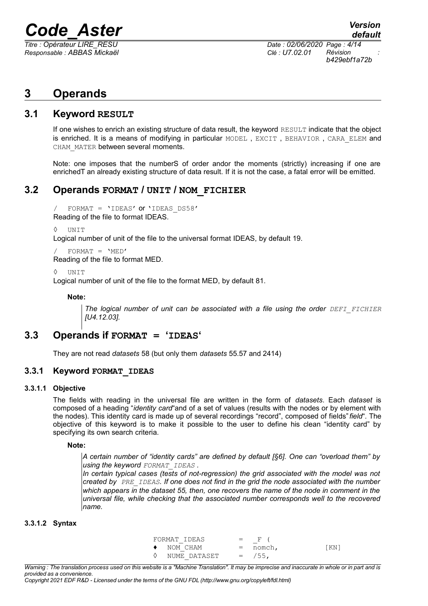*Responsable : ABBAS Mickaël Clé : U7.02.01 Révision :*

*Titre : Opérateur LIRE\_RESU Date : 02/06/2020 Page : 4/14 b429ebf1a72b*

## **3 Operands**

## **3.1 Keyword RESULT**

If one wishes to enrich an existing structure of data result, the keyword RESULT indicate that the object is enriched. It is a means of modifying in particular MODEL, EXCIT, BEHAVIOR, CARA\_ELEM and CHAM MATER between several moments.

Note: one imposes that the numberS of order andor the moments (strictly) increasing if one are enrichedT an already existing structure of data result. If it is not the case, a fatal error will be emitted.

## **3.2 Operands FORMAT / UNIT / NOM\_FICHIER**

/ FORMAT = 'IDEAS' or 'IDEAS\_DS58' Reading of the file to format IDEAS.

◊ UNIT

Logical number of unit of the file to the universal format IDEAS, by default 19.

 $FORMAT = 'MED'$ Reading of the file to format MED.

◊ UNIT

Logical number of unit of the file to the format MED, by default 81.

**Note:**

*The logical number of unit can be associated with a file using the order DEFI\_FICHIER [U4.12.03].*

## **3.3 Operands if FORMAT = 'IDEAS'**

They are not read *datasets* 58 (but only them *datasets* 55.57 and 2414)

#### **3.3.1 Keyword FORMAT\_IDEAS**

#### **3.3.1.1 Objective**

The fields with reading in the universal file are written in the form of *datasets*. Each *dataset* is composed of a heading "*identity card*"and of a set of values (results with the nodes or by element with the nodes). This identity card is made up of several recordings "record", composed of fields"*field*". The objective of this keyword is to make it possible to the user to define his clean "identity card" by specifying its own search criteria.

#### **Note:**

*A certain number of "identity cards" are defined by default [§6]. One can "overload them" by using the keyword FORMAT\_IDEAS .*

*In certain typical cases (tests of not-regression) the grid associated with the model was not created by PRE\_IDEAS. If one does not find in the grid the node associated with the number which appears in the dataset 55, then, one recovers the name of the node in comment in the universal file, while checking that the associated number corresponds well to the recovered name.*

#### **3.3.1.2 Syntax**

| FORMAT IDEAS               | $=$ F (    |      |
|----------------------------|------------|------|
| $\leftrightarrow$ NOM CHAM | $=$ nomch, | [KN] |
| ♦ NUME DATASET             | $=$ /55,   |      |

*Warning : The translation process used on this website is a "Machine Translation". It may be imprecise and inaccurate in whole or in part and is provided as a convenience.*

*Copyright 2021 EDF R&D - Licensed under the terms of the GNU FDL (http://www.gnu.org/copyleft/fdl.html)*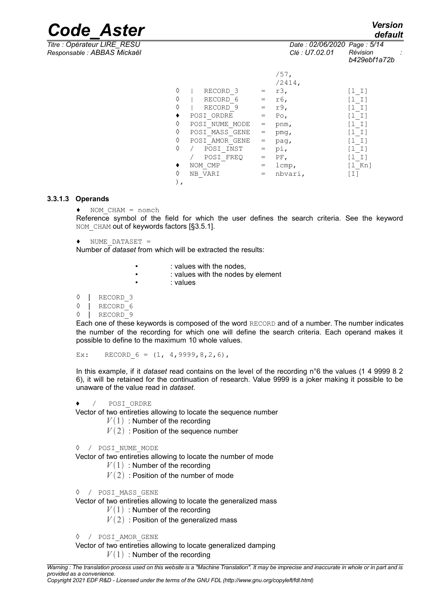*Titre : Opérateur LIRE\_RESU Date : 02/06/2020 Page : 5/14 Responsable : ABBAS Mickaël Clé : U7.02.01 Révision :*

*b429ebf1a72b*

|   |                     |     | $/57$ ,   |        |
|---|---------------------|-----|-----------|--------|
|   |                     |     | $/2414$ , |        |
| ♦ | RECORD <sub>3</sub> |     | r3,       | [1 I]  |
|   | RECORD 6            |     | r6,       | [1 I]  |
| ♦ | RECORD <sub>9</sub> | $=$ | r9,       | [1 I]  |
|   | POSI ORDRE          | $=$ | $Po$ ,    | [1 I]  |
| ♦ | POSI NUME MODE      | =   | pnm,      | [1 I]  |
| ♦ | POSI MASS GENE      |     | pmq,      | ות בז  |
| ♦ | POSI AMOR GENE      | =   | pag,      | [1 I]  |
| ♦ | POSI INST           | $=$ | pi,       | [1 I]  |
|   | POSI FREQ           | $=$ | $PF$ ,    | [1 I]  |
|   | NOM CMP             |     | lcmp,     | [l Kn] |
|   | NB VARI             |     | nbvari,   | I      |
|   |                     |     |           |        |

#### **3.3.1.3 Operands**

♦ NOM\_CHAM = nomch

Reference symbol of the field for which the user defines the search criteria. See the keyword NOM CHAM out of keywords factors [§3.5.1].

♦ NUME\_DATASET =

Number of *dataset* from which will be extracted the results:

- : values with the nodes.
- : values with the nodes by element
	- : values

◊ | RECORD\_3

```
◊ | RECORD_6
```
◊ | RECORD\_9

Each one of these keywords is composed of the word RECORD and of a number. The number indicates the number of the recording for which one will define the search criteria. Each operand makes it possible to define to the maximum 10 whole values.

Ex: RECORD  $6 = (1, 4, 9999, 8, 2, 6)$ ,

In this example, if it *dataset* read contains on the level of the recording n°6 the values (1 4 9999 8 2 6), it will be retained for the continuation of research. Value 9999 is a joker making it possible to be unaware of the value read in *dataset*.

POSI ORDRE

Vector of two entireties allowing to locate the sequence number

- $V(1)$ : Number of the recording
- $V(2)$ : Position of the sequence number

◊ / POSI\_NUME\_MODE

Vector of two entireties allowing to locate the number of mode

- $V(1)$ : Number of the recording
- $V(2)$ : Position of the number of mode
- ◊ / POSI\_MASS\_GENE

Vector of two entireties allowing to locate the generalized mass

- $V(1)$ : Number of the recording
- $V(2)$ : Position of the generalized mass

◊ / POSI\_AMOR\_GENE

Vector of two entireties allowing to locate generalized damping  $V(1)$ : Number of the recording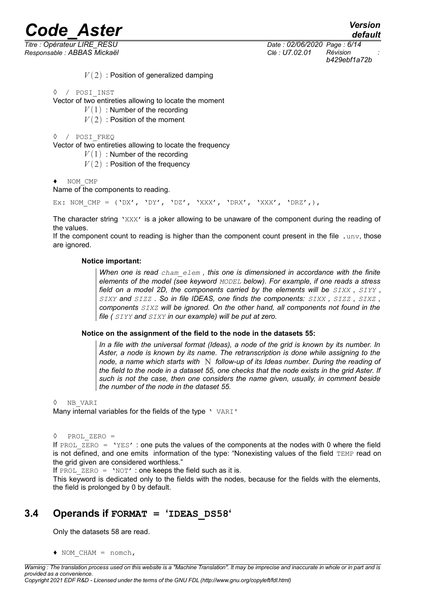## *Code\_Aster Version Titre : Opérateur LIRE\_RESU Date : 02/06/2020 Page : 6/14*

*Responsable : ABBAS Mickaël Clé : U7.02.01 Révision :*

*b429ebf1a72b*

 $V(2)$ : Position of generalized damping

◊ / POSI\_INST

Vector of two entireties allowing to locate the moment

- $V(1)$ : Number of the recording
- $V(2)$ : Position of the moment
- ◊ / POSI\_FREQ

Vector of two entireties allowing to locate the frequency

- $V(1)$ : Number of the recording
- $V(2)$ : Position of the frequency

♦ NOM\_CMP

Name of the components to reading.

Ex: NOM CMP =  $('DX', 'DY', 'DZ', 'XXX', 'DRX', 'XXX', 'DRZ',),$ 

The character string 'XXX' is a joker allowing to be unaware of the component during the reading of the values.

If the component count to reading is higher than the component count present in the file . unv, those are ignored.

#### **Notice important:**

*When one is read cham\_elem , this one is dimensioned in accordance with the finite elements of the model (see keyword MODEL below). For example, if one reads a stress field on a model 2D, the components carried by the elements will be SIXX , SIYY , SIXY and SIZZ . So in file IDEAS, one finds the components: SIXX , SIZZ , SIXZ , components SIXZ will be ignored. On the other hand, all components not found in the file ( SIYY and SIXY in our example) will be put at zero.*

#### **Notice on the assignment of the field to the node in the datasets 55:**

*In a file with the universal format (Ideas), a node of the grid is known by its number. In Aster, a node is known by its name. The retranscription is done while assigning to the node, a name which starts with* N *follow-up of its Ideas number. During the reading of the field to the node in a dataset 55, one checks that the node exists in the grid Aster. If such is not the case, then one considers the name given, usually, in comment beside the number of the node in the dataset 55.*

NB\_VARI

Many internal variables for the fields of the type ' VARI'

◊ PROL\_ZERO =

If PROL ZERO =  $'YES'$  : one puts the values of the components at the nodes with 0 where the field is not defined, and one emits information of the type: "Nonexisting values of the field TEMP read on the grid given are considered worthless."

If PROL ZERO = 'NOT' : one keeps the field such as it is.

This keyword is dedicated only to the fields with the nodes, because for the fields with the elements, the field is prolonged by 0 by default.

## **3.4 Operands if FORMAT = 'IDEAS\_DS58'**

Only the datasets 58 are read.

♦ NOM\_CHAM = nomch,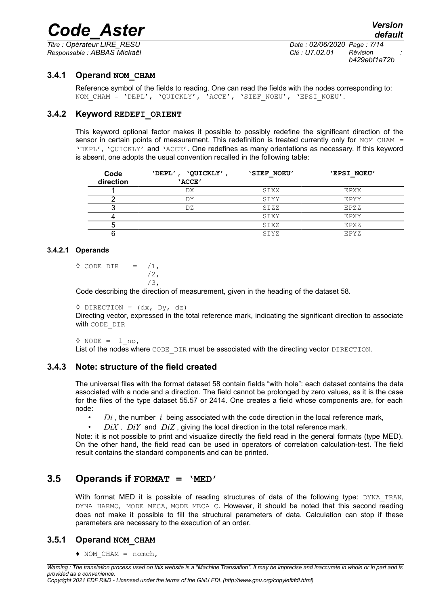*Titre : Opérateur LIRE\_RESU Date : 02/06/2020 Page : 7/14 Responsable : ABBAS Mickaël Clé : U7.02.01 Révision :*

#### **3.4.1 Operand NOM\_CHAM**

Reference symbol of the fields to reading. One can read the fields with the nodes corresponding to: NOM CHAM = 'DEPL', 'QUICKLY', 'ACCE', 'SIEF NOEU', 'EPSI NOEU'.

#### **3.4.2 Keyword REDEFI\_ORIENT**

This keyword optional factor makes it possible to possibly redefine the significant direction of the sensor in certain points of measurement. This redefinition is treated currently only for NOM CHAM = 'DEPL', 'QUICKLY' and 'ACCE'. One redefines as many orientations as necessary. If this keyword is absent, one adopts the usual convention recalled in the following table:

| Code<br>direction | $'$ DEPL',<br>'QUICKLY'<br>'ACCE' | 'SIEF NOEU' | 'EPSI NOEU' |
|-------------------|-----------------------------------|-------------|-------------|
|                   | DX                                | SIXX        | EPXX        |
|                   | DY                                | SIYY        | EPYY        |
|                   | DZ                                | SIZZ        | EPZZ        |
|                   |                                   | SIXY        | EPXY        |
|                   |                                   | SIXZ        | EPXZ        |
|                   |                                   | STYZ        | EPYZ        |

#### **3.4.2.1 Operands**

 $\Diamond$  CODE DIR = /1, /2, /3,

Code describing the direction of measurement, given in the heading of the dataset 58.

 $\Diamond$  DIRECTION =  $(dx, Dy, dz)$ 

Directing vector, expressed in the total reference mark, indicating the significant direction to associate with CODE DIR

 $\Diamond$  NODE = 1 no, List of the nodes where CODE DIR must be associated with the directing vector DIRECTION.

#### **3.4.3 Note: structure of the field created**

The universal files with the format dataset 58 contain fields "with hole": each dataset contains the data associated with a node and a direction. The field cannot be prolonged by zero values, as it is the case for the files of the type dataset 55.57 or 2414. One creates a field whose components are, for each node:

- *Di* , the number *i* being associated with the code direction in the local reference mark,
- $DiX$ ,  $DiY$  and  $DiZ$ , giving the local direction in the total reference mark.

Note: it is not possible to print and visualize directly the field read in the general formats (type MED). On the other hand, the field read can be used in operators of correlation calculation-test. The field result contains the standard components and can be printed.

## **3.5 Operands if FORMAT = 'MED'**

With format MED it is possible of reading structures of data of the following type: DYNA TRAN, DYNA HARMO, MODE MECA, MODE MECA C. However, it should be noted that this second reading does not make it possible to fill the structural parameters of data. Calculation can stop if these parameters are necessary to the execution of an order.

#### **3.5.1 Operand NOM\_CHAM**

♦ NOM\_CHAM = nomch,

*Warning : The translation process used on this website is a "Machine Translation". It may be imprecise and inaccurate in whole or in part and is provided as a convenience.*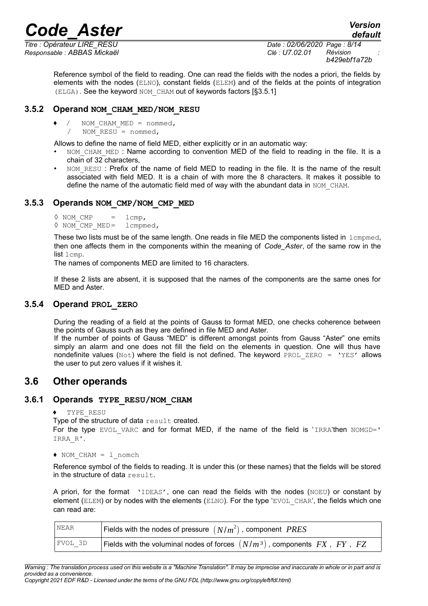*Responsable : ABBAS Mickaël Clé : U7.02.01 Révision :*

*Titre : Opérateur LIRE\_RESU Date : 02/06/2020 Page : 8/14 b429ebf1a72b*

*default*

Reference symbol of the field to reading. One can read the fields with the nodes a priori, the fields by elements with the nodes (ELNO), constant fields (ELEM) and of the fields at the points of integration (ELGA). See the keyword NOM\_CHAM out of keywords factors [§3.5.1]

#### **3.5.2 Operand NOM\_CHAM\_MED/NOM\_RESU**

- NOM CHAM  $MED = nommed$ .
	- /  $NOM$  RESU = nommed,

Allows to define the name of field MED, either explicitly or in an automatic way:

- NOM CHAM MED : Name according to convention MED of the field to reading in the file. It is a chain of 32 characters,
- NOM\_RESU : Prefix of the name of field MED to reading in the file. It is the name of the result associated with field MED. It is a chain of with more the 8 characters. It makes it possible to define the name of the automatic field med of way with the abundant data in NOM CHAM.

#### **3.5.3 Operands NOM\_CMP/NOM\_CMP\_MED**

 $\Diamond$  NOM CMP = lcmp,

◊ NOM\_CMP\_MED= lcmpmed,

These two lists must be of the same length. One reads in file MED the components listed in  $l$  cmpmed, then one affects them in the components within the meaning of *Code\_Aster*, of the same row in the list lcmp.

The names of components MED are limited to 16 characters.

If these 2 lists are absent, it is supposed that the names of the components are the same ones for MED and Aster.

#### **3.5.4 Operand PROL\_ZERO**

During the reading of a field at the points of Gauss to format MED, one checks coherence between the points of Gauss such as they are defined in file MED and Aster.

If the number of points of Gauss "MED" is different amongst points from Gauss "Aster" one emits simply an alarm and one does not fill the field on the elements in question. One will thus have nondefinite values (Not) where the field is not defined. The keyword PROL ZERO = 'YES' allows the user to put zero values if it wishes it.

## **3.6 Other operands**

#### **3.6.1 Operands TYPE\_RESU/NOM\_CHAM**

TYPE RESU

Type of the structure of data result created.

For the type EVOL VARC and for format MED, if the name of the field is 'IRRA'then NOMGD=' IRRA\_R'.

 $\triangle$  NOM CHAM = 1 nomch

Reference symbol of the fields to reading. It is under this (or these names) that the fields will be stored in the structure of data result.

A priori, for the format 'IDEAS', one can read the fields with the nodes (NOEU) or constant by element (ELEM) or by nodes with the elements (ELNO). For the type 'EVOL\_CHAR', the fields which one can read are:

| NEAR    | Fields with the nodes of pressure $(N/m^2)$ , component <i>PRES</i>         |
|---------|-----------------------------------------------------------------------------|
| FVOL_3D | Fields with the voluminal nodes of forces $(N/m^3)$ , components FX, FY, FZ |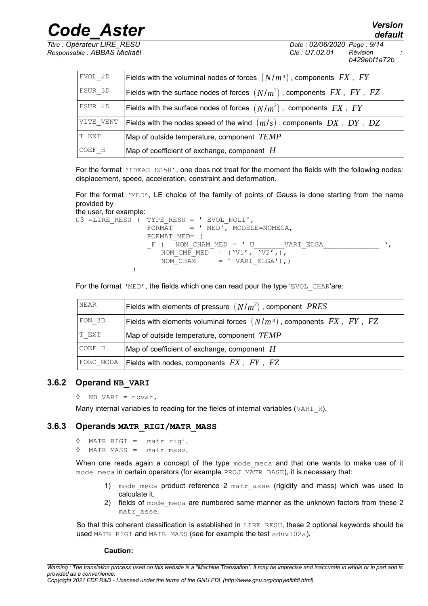*Titre : Opérateur LIRE\_RESU Date : 02/06/2020 Page : 9/14 Responsable : ABBAS Mickaël Clé : U7.02.01 Révision :*

*b429ebf1a72b*

| FVOL 2D   | Fields with the voluminal nodes of forces $(N/m^3)$ , components $FX$ , $FY$ |
|-----------|------------------------------------------------------------------------------|
| FSUR 3D   | Fields with the surface nodes of forces $(N/m^2)$ , components FX, FY, FZ    |
| FSUR 2D   | Fields with the surface nodes of forces $(N/m^2)$ , components $FX$ , $FY$   |
| VITE VENT | Fields with the nodes speed of the wind $(m/s)$ , components DX, DY, DZ      |
| T EXT     | Map of outside temperature, component TEMP                                   |
| COEF H    | Map of coefficient of exchange, component $H$                                |

For the format 'IDEAS DS58', one does not treat for the moment the fields with the following nodes: displacement, speed, acceleration, constraint and deformation.

For the format 'MED', LE choice of the family of points of Gauss is done starting from the name provided by

```
the user, for example: 
U3 =LIRE_RESU ( TYPE RESU = ' EVOL NOLI',
              FORMAT = ' MED', MODELE=MOMECA,
               FORMAT_MED= (
              F ( NOM CHAM MED = ' U WARI ELGA
                 NOM CMP MED = (V1', 'V2',),NOM CHAM = ' VARI ELGA'),)
           )
```
For the format 'MED', the fields which one can read pour the type 'EVOL CHAR'are:

| NEAR      | Fields with elements of pressure $(N/m^2)$ , component <i>PRES</i>              |
|-----------|---------------------------------------------------------------------------------|
| FON 3D    | Fields with elements voluminal forces $(N/m^3)$ , components $FX$ , $FY$ , $FZ$ |
| T EXT     | Map of outside temperature, component TEMP                                      |
| COEF H    | Map of coefficient of exchange, component H                                     |
| FORC NODA | Fields with nodes, components $FX$ , $FY$ , $FZ$                                |

#### **3.6.2 Operand NB\_VARI**

```
◊ NB_VARI = nbvar,
```
Many internal variables to reading for the fields of internal variables (VARI\_R).

#### **3.6.3 Operands MATR\_RIGI/MATR\_MASS**

```
◊ MATR_RIGI = matr_rigi,
◊ MATR_MASS = matr_mass,
```
When one reads again a concept of the type mode meca and that one wants to make use of it mode meca in certain operators (for example PROJ\_MATR\_BASE), it is necessary that:

- 1) mode meca product reference 2 matr asse (rigidity and mass) which was used to calculate it,
- 2) fields of  $mode$  meca are numbered same manner as the unknown factors from these 2 matr asse.

So that this coherent classification is established in LIRE\_RESU, these 2 optional keywords should be used MATR\_RIGI and MATR\_MASS (see for example the test sdnv102a).

#### **Caution:**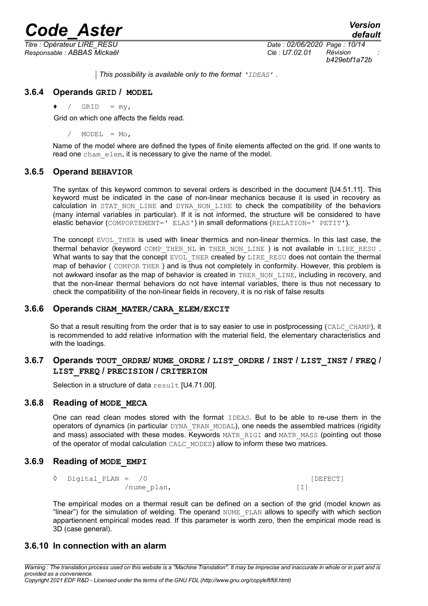*Titre : Opérateur LIRE\_RESU Date : 02/06/2020 Page : 10/14 Responsable : ABBAS Mickaël Clé : U7.02.01 Révision :*

*b429ebf1a72b*

*This possibility is available only to the format 'IDEAS' .*

#### **3.6.4 Operands GRID / MODEL**

/  $GRID = my$ ,

Grid on which one affects the fields read.

 $/$  MODEL = Mo,

Name of the model where are defined the types of finite elements affected on the grid. If one wants to read one cham elem, it is necessary to give the name of the model.

#### **3.6.5 Operand BEHAVIOR**

The syntax of this keyword common to several orders is described in the document [U4.51.11]. This keyword must be indicated in the case of non-linear mechanics because it is used in recovery as calculation in STAT\_NON\_LINE and DYNA\_NON\_LINE to check the compatibility of the behaviors (many internal variables in particular). If it is not informed, the structure will be considered to have elastic behavior (COMPORTEMENT=' ELAS') in small deformations (RELATION=' PETIT').

The concept EVOL THER is used with linear thermics and non-linear thermics. In this last case, the thermal behavior (keyword COMP\_THER\_NL in THER\_NON\_LINE ) is not available in LIRE\_RESU. What wants to say that the concept EVOL THER created by LIRE RESU does not contain the thermal map of behavior ( COMPOR THER ) and is thus not completely in conformity. However, this problem is not awkward insofar as the map of behavior is created in THER\_NON\_LINE, including in recovery, and that the non-linear thermal behaviors do not have internal variables, there is thus not necessary to check the compatibility of the non-linear fields in recovery, it is no risk of false results

#### **3.6.6 Operands CHAM\_MATER/CARA\_ELEM/EXCIT**

So that a result resulting from the order that is to say easier to use in postprocessing (CALC CHAMP), it is recommended to add relative information with the material field, the elementary characteristics and with the loadings.

#### **3.6.7 Operands TOUT\_ORDRE/ NUME\_ORDRE / LIST\_ORDRE / INST / LIST\_INST / FREQ / LIST\_FREQ / PRECISION / CRITERION**

Selection in a structure of data result [U4.71.00].

#### **3.6.8 Reading of MODE\_MECA**

One can read clean modes stored with the format  $IDEAS$ . But to be able to re-use them in the operators of dynamics (in particular DYNA\_TRAN\_MODAL), one needs the assembled matrices (rigidity and mass) associated with these modes. Keywords MATR\_RIGI and MATR\_MASS (pointing out those of the operator of modal calculation CALC\_MODES) allow to inform these two matrices.

#### **3.6.9 Reading of MODE\_EMPI**

| $\Diamond$ Digital PLAN = /0 |             | [DEFECT] |
|------------------------------|-------------|----------|
|                              | /nume plan, |          |

The empirical modes on a thermal result can be defined on a section of the grid (model known as "linear") for the simulation of welding. The operand NUME\_PLAN allows to specify with which section appartiennent empirical modes read. If this parameter is worth zero, then the empirical mode read is 3D (case general).

#### **3.6.10 In connection with an alarm**

*Warning : The translation process used on this website is a "Machine Translation". It may be imprecise and inaccurate in whole or in part and is provided as a convenience. Copyright 2021 EDF R&D - Licensed under the terms of the GNU FDL (http://www.gnu.org/copyleft/fdl.html)*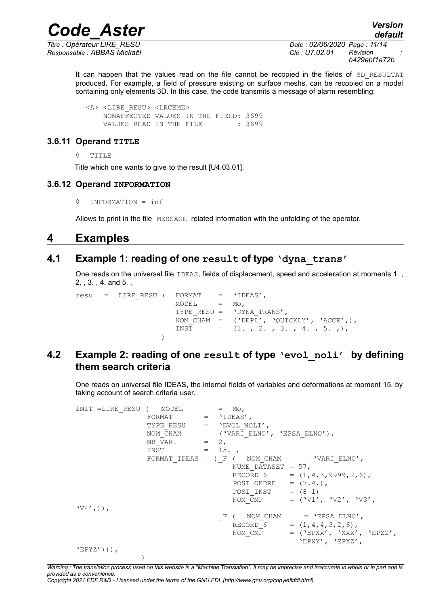*Titre : Opérateur LIRE\_RESU Date : 02/06/2020 Page : 11/14 b429ebf1a72b*

*default*

It can happen that the values read on the file cannot be recopied in the fields of SD\_RESULTAT produced. For example, a field of pressure existing on surface meshs, can be recopied on a model containing only elements 3D. In this case, the code transmits a message of alarm resembling:

*Code\_Aster Version*

 <A> <LIRE\_RESU> <LRCEME> NONAFFECTED VALUES IN THE FIELD: 3699 VALUES READ IN THE FILE : 3699

#### **3.6.11 Operand TITLE**

◊ TITLE

Title which one wants to give to the result [U4.03.01].

#### **3.6.12 Operand INFORMATION**

◊ INFORMATION = inf

Allows to print in the file MESSAGE related information with the unfolding of the operator.

## **4 Examples**

## **4.1 Example 1: reading of one result of type 'dyna\_trans'**

One reads on the universal file IDEAS, fields of displacement, speed and acceleration at moments 1. , 2. , 3. , 4. and 5. ,

|  | resu = LIRE_RESU ( FORMAT = 'IDEAS', |               |                                                                   |
|--|--------------------------------------|---------------|-------------------------------------------------------------------|
|  |                                      | $MODEL = MO.$ |                                                                   |
|  |                                      |               | TYPE RESU = $'$ DYNA TRANS',                                      |
|  |                                      |               | NOM CHAM = $(\angle$ DEPL', $\angle$ OUICKLY', $\angle$ ACCE', ), |
|  |                                      | INST          | $= (1, 2, 3, 4, 5, 0)$                                            |
|  |                                      |               |                                                                   |

## **4.2 Example 2: reading of one result of type 'evol\_noli' by defining them search criteria**

One reads on universal file IDEAS, the internal fields of variables and deformations at moment 15. by taking account of search criteria user.

INIT =LIRE RESU ( MODEL = Mo, FORMAT  $=$  'IDEAS', TYPE RESU =  $'EVOLNOLI'$ , NOM CHAM =  $(VA \times T)$  ELNO', 'EPSA ELNO'), NB VARI =  $2$ ,  $INST$  = 15., FORMAT IDEAS = (  $F$  (  $NOMCHAM$  = 'VARI ELNO', NUME DATASET = 57, RECORD 6 =  $(1,4,3,9999,2,6)$ , POSI\_ORDRE =  $(7.4)$ ,<br>POSI\_INST =  $(8\ 1)$ POSI\_INST<br>NOM CMP  $=$  ('V1', 'V2', 'V3',  $'V4'$ , )),  $\begin{array}{ccc} \text{F} & \text{NOM} & \text{CHAM} & = & \text{EPSA} & \text{ELNO} \text{^\prime} \text{,} \\ \text{RECORD} & 6 & = & (1, 4, 4, 3, 2, 6) \text{ .} \end{array}$  $= (1,4,4,3,2,6)$ ,  $NOM\_CMP$  = ('EPXX', 'XXX', 'EPZZ', 'EPXY', 'EPXZ',  $'EPYZ'$ ))),

*Warning : The translation process used on this website is a "Machine Translation". It may be imprecise and inaccurate in whole or in part and is provided as a convenience.*

*Copyright 2021 EDF R&D - Licensed under the terms of the GNU FDL (http://www.gnu.org/copyleft/fdl.html)*

)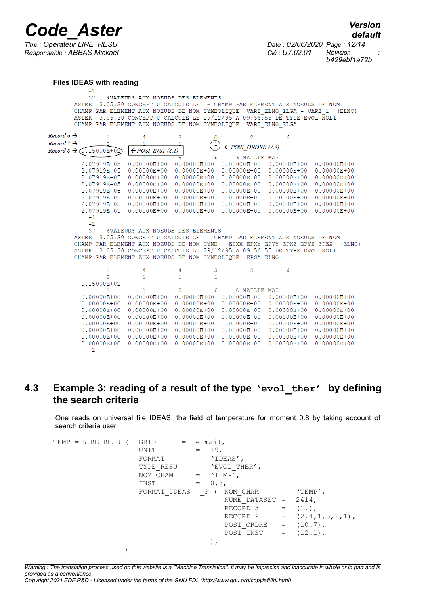

*b429ebf1a72b*

#### **Files IDEAS with reading**

 $-1$ 57 %VALEURS AUX NOEUDS DES ELEMENTS ASTER 3.05.30 CONCEPT U CALCULE LE - CHAMP PAR ELEMENT AUX NOEUDS DE NOM CHAMP PAR ELEMENT AUX NOEUDS DE NOM SYMBOLIQUE VARI ELNO ELGA - VARI 1 (ELNO) ASTER 3.05.30 CONCEPT U CALCULE LE 29/12/95 A 09:56.55 DE TYPE EVOL NOLI CHAMP PAR ELEMENT AUX NOEUDS DE NOM SYMBOLIQUE VARI ELNO ELGA

| Record $6 \rightarrow$                             | 4                                                                  | 3               | 2<br>0                                | 6               |                     |
|----------------------------------------------------|--------------------------------------------------------------------|-----------------|---------------------------------------|-----------------|---------------------|
| Record $7 \rightarrow$                             |                                                                    |                 |                                       |                 |                     |
| Record $8 \rightarrow \textcircled{1}$ . 15000E+02 | $\leftarrow$ <i>POSI INST</i> (8,1)                                |                 | $\leftarrow$ <i>POSI_ORDRE</i> (7,4)  |                 |                     |
|                                                    |                                                                    |                 | % MAILLE MA2<br>6                     |                 |                     |
| 2.07919E-05                                        | $0.00000E + 00$                                                    | $0.00000E + 00$ | $0.00000E + 00$                       | $0.00000E + 00$ | $0.00000E + 00$     |
| 2.07919E-05                                        | $0.00000E + 00$                                                    | $0.00000E + 00$ | $0.00000E + 00$                       | $0.00000E + 00$ | $0.00000E + 00$     |
| 2.07919E-05                                        | $0.00000E + 00$                                                    | $0.00000E + 00$ | $0.00000E + 00$                       | $0.00000E + 00$ | $0.00000E + 00$     |
| 2.07919E-05                                        | $0.00000E + 00$                                                    | $0.00000E + 00$ | $0.00000E + 00$                       | $0.00000E + 00$ | $0.00000E + 00$     |
| 2.07919E-05                                        | $0.00000E + 00$                                                    | $0.00000E + 00$ | $0.00000E + 00$                       | $0.00000E + 00$ | $0.00000E + 00$     |
| 2.07919E-05                                        | $0.00000E + 00$                                                    | $0.00000E + 00$ | $0.00000E + 00$                       | $0.00000E + 00$ | $0.00000E + 00$     |
| 2.07919E-05                                        | $0.00000E + 00$                                                    | $0.00000E + 00$ | $0.00000E + 00$                       | $0.00000E + 00$ | $0.00000E + 00$     |
| 2.07919E-05                                        | $0.00000E + 00$                                                    | $0.00000E + 00$ | $0.00000E + 00$                       | $0.00000E + 00$ | $0.00000E + 00$     |
| $-1$                                               |                                                                    |                 |                                       |                 |                     |
| $-1$                                               |                                                                    |                 |                                       |                 |                     |
| 57                                                 | %VALEURS AUX NOEUDS DES ELEMENTS                                   |                 |                                       |                 |                     |
| ASTER                                              | 3.05.30 CONCEPT U CALCULE LE                                       |                 | - CHAMP PAR ELEMENT AUX NOEUDS DE NOM |                 |                     |
|                                                    | CHAMP PAR ELEMENT AUX NOEUDS DE NOM SYMB - EPXX EPXY EPYY EPXZ     |                 |                                       |                 | EPYZ EPZZ<br>(ELNO) |
| <b>ASTER</b>                                       | 3.05.30 CONCEPT U CALCULE LE 29/12/95 A 09:56:55 DE TYPE EVOL NOLI |                 |                                       |                 |                     |
|                                                    | CHAMP PAR ELEMENT AUX NOEUDS DE NOM SYMBOLIQUE                     |                 | <b>EPSA ELNO</b>                      |                 |                     |
|                                                    |                                                                    |                 | 2<br>3                                | 6               |                     |
| 2                                                  | 4                                                                  | 4<br>1          | 1                                     |                 |                     |
| 0.15000E+02                                        |                                                                    |                 |                                       |                 |                     |
|                                                    |                                                                    | 8               | % MAILLE MA2<br>6                     |                 |                     |
| $0.00000E + 00$                                    | $0.00000E + 00$                                                    | $0.00000E + 00$ | $0.00000E + 00$                       | $0.00000E + 00$ | $0.00000E + 00$     |
| $0.00000E + 00$                                    | $0.00000E + 00$                                                    | $0.00000E + 00$ | $0.00000E + 00$                       | $0.00000E + 00$ | $0.00000E + 00$     |
| $0.00000E + 00$                                    | $0.00000E + 00$                                                    | $0.00000E + 00$ | $0.00000E + 00$                       | $0.00000E + 00$ | $0.00000E + 00$     |
| $0.00000E + 00$                                    | $0.00000E + 00$                                                    | $0.00000E + 00$ | $0.00000E + 00$                       | $0.00000E + 00$ | $0.00000E + 00$     |
| $0.00000E + 00$                                    | $0.00000E + 00$                                                    | $0.00000E + 00$ | $0.00000E + 00$                       | $0.00000E + 00$ | $0.00000E + 00$     |
| $0.00000E + 00$                                    | $0.00000E + 00$                                                    | $0.00000E + 00$ | $0.00000E + 00$                       | $0.00000E + 00$ | $0.00000E + 00$     |
| $0.00000E + 00$                                    | $0.00000E + 00$                                                    | $0.00000E + 00$ | $0.00000E + 00$                       | $0.00000E + 00$ | $0.00000E + 00$     |
| $0.00000E + 00$                                    | $0.00000E + 00$                                                    | $0.00000E + 00$ | $0.00000E + 00$                       | $0.00000E + 00$ | $0.00000E + 00$     |

#### $-1$

## **4.3 Example 3: reading of a result of the type 'evol\_ther' by defining the search criteria**

One reads on universal file IDEAS, the field of temperature for moment 0.8 by taking account of search criteria user.

TEMP = LIRE RESU ( GRID =  $e$ -mail, UNIT  $= 19$ , FORMAT  $=$  'IDEAS', TYPE RESU =  $'$ EVOL THER', NOM CHAM  $=$  'TEMP',  $INST = 0.8$ , FORMAT IDEAS = F ( NOM CHAM =  $'TEMP'$ , NUME DATASET =  $2414$ , RECORD 3 =  $(1, )$ ,<br>RECORD 9 =  $(2, 4, )$  $= (2,4,1,5,2,1)$ , POSI ORDRE =  $(10.7)$ ,  $POST$  INST =  $(12.1)$ , ), )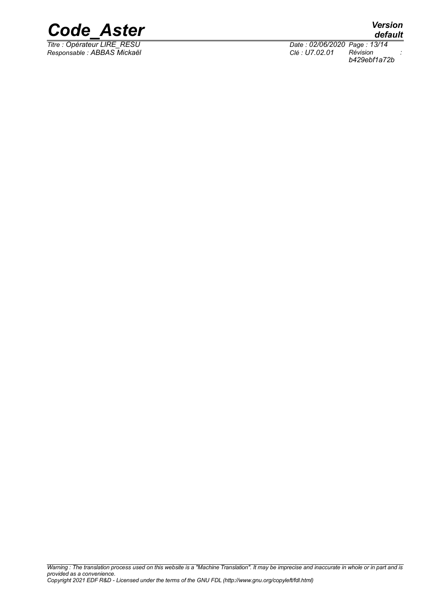

*Titre : Opérateur LIRE\_RESU Date : 02/06/2020 Page : 13/14 b429ebf1a72b*